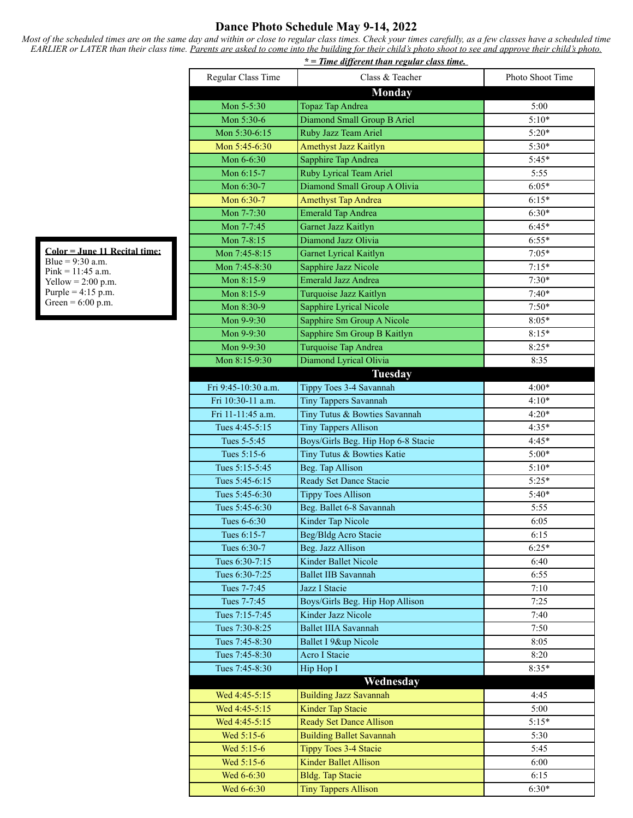## **Dance Photo Schedule May 9-14, 2022**

*Most of the scheduled times are on the same day and within or close to regular class times. Check your times carefully, as a few classes have a scheduled time EARLIER or LATER than their class time. Parents are asked to come into the building for their child's photo shoot to see and approve their child's photo.*

|                     | $* =$ Time different than regular class time. |                  |
|---------------------|-----------------------------------------------|------------------|
| Regular Class Time  | Class & Teacher                               | Photo Shoot Time |
|                     | <b>Monday</b>                                 |                  |
| Mon 5-5:30          | Topaz Tap Andrea                              | 5:00             |
| Mon 5:30-6          | Diamond Small Group B Ariel                   | $5:10*$          |
| Mon 5:30-6:15       | Ruby Jazz Team Ariel                          | $5:20*$          |
| Mon 5:45-6:30       | <b>Amethyst Jazz Kaitlyn</b>                  | 5:30*            |
| Mon 6-6:30          | Sapphire Tap Andrea                           | $5:45*$          |
| Mon 6:15-7          | Ruby Lyrical Team Ariel                       | 5:55             |
| Mon 6:30-7          | Diamond Small Group A Olivia                  | $6:05*$          |
| Mon 6:30-7          | <b>Amethyst Tap Andrea</b>                    | $6:15*$          |
| Mon 7-7:30          | <b>Emerald Tap Andrea</b>                     | $6:30*$          |
| Mon 7-7:45          | Garnet Jazz Kaitlyn                           | $6:45*$          |
| Mon 7-8:15          | Diamond Jazz Olivia                           | $6:55*$          |
| Mon 7:45-8:15       | Garnet Lyrical Kaitlyn                        | $7:05*$          |
| Mon 7:45-8:30       | Sapphire Jazz Nicole                          | $7:15*$          |
| Mon 8:15-9          | <b>Emerald Jazz Andrea</b>                    | $7:30*$          |
| Mon 8:15-9          | Turquoise Jazz Kaitlyn                        | $7:40*$          |
| Mon 8:30-9          | <b>Sapphire Lyrical Nicole</b>                | $7:50*$          |
| Mon 9-9:30          | Sapphire Sm Group A Nicole                    | $8:05*$          |
| Mon 9-9:30          | Sapphire Sm Group B Kaitlyn                   | $8:15*$          |
| Mon 9-9:30          | Turquoise Tap Andrea                          | $8:25*$          |
| Mon 8:15-9:30       | Diamond Lyrical Olivia                        | 8:35             |
|                     | <b>Tuesday</b>                                |                  |
| Fri 9:45-10:30 a.m. | Tippy Toes 3-4 Savannah                       | $4:00*$          |
| Fri 10:30-11 a.m.   | <b>Tiny Tappers Savannah</b>                  | $4:10*$          |
| Fri 11-11:45 a.m.   | Tiny Tutus & Bowties Savannah                 | $4:20*$          |
| Tues 4:45-5:15      | <b>Tiny Tappers Allison</b>                   | $4:35*$          |
| Tues 5-5:45         | Boys/Girls Beg. Hip Hop 6-8 Stacie            | $4:45*$          |
| Tues 5:15-6         | Tiny Tutus & Bowties Katie                    | $5:00*$          |
| Tues 5:15-5:45      | Beg. Tap Allison                              | $5:10*$          |
| Tues 5:45-6:15      | Ready Set Dance Stacie                        | $5:25*$          |
| Tues 5:45-6:30      | <b>Tippy Toes Allison</b>                     | $5:40*$          |
| Tues 5:45-6:30      | Beg. Ballet 6-8 Savannah                      | 5:55             |
| Tues 6-6:30         | Kinder Tap Nicole                             | 6:05             |
| Tues 6:15-7         | Beg/Bldg Acro Stacie                          | 6:15             |
| Tues 6:30-7         | Beg. Jazz Allison                             | $6:25*$          |
| Tues 6:30-7:15      | <b>Kinder Ballet Nicole</b>                   | 6:40             |
| Tues 6:30-7:25      | <b>Ballet IIB Savannah</b>                    | 6:55             |
| Tues 7-7:45         | Jazz I Stacie                                 | 7:10             |
| Tues 7-7:45         | Boys/Girls Beg. Hip Hop Allison               | 7:25             |
| Tues 7:15-7:45      | Kinder Jazz Nicole                            | 7:40             |
| Tues 7:30-8:25      | <b>Ballet IIIA Savannah</b>                   | 7:50             |
| Tues 7:45-8:30      | Ballet I 9&up Nicole                          | 8:05             |
| Tues 7:45-8:30      | <b>Acro I Stacie</b>                          | 8:20             |
| Tues 7:45-8:30      | Hip Hop I                                     | $8:35*$          |
|                     | Wednesday                                     |                  |
| Wed 4:45-5:15       | <b>Building Jazz Savannah</b>                 | 4:45             |
| Wed 4:45-5:15       | <b>Kinder Tap Stacie</b>                      | 5:00             |
| Wed 4:45-5:15       | <b>Ready Set Dance Allison</b>                | $5:15*$          |
| Wed 5:15-6          | <b>Building Ballet Savannah</b>               | 5:30             |
| Wed 5:15-6          | <b>Tippy Toes 3-4 Stacie</b>                  | 5:45             |
| Wed 5:15-6          | <b>Kinder Ballet Allison</b>                  | 6:00             |
| Wed 6-6:30          | <b>Bldg.</b> Tap Stacie                       | 6:15             |
| Wed 6-6:30          | <b>Tiny Tappers Allison</b>                   | $6:30*$          |

**Color = June 11 Recital time:** Blue =  $9:30$  a.m. Pink = 11:45 a.m. Yellow  $= 2:00$  p.m. Purple =  $4:15 \text{ p.m.}$ Green =  $6:00$  p.m.